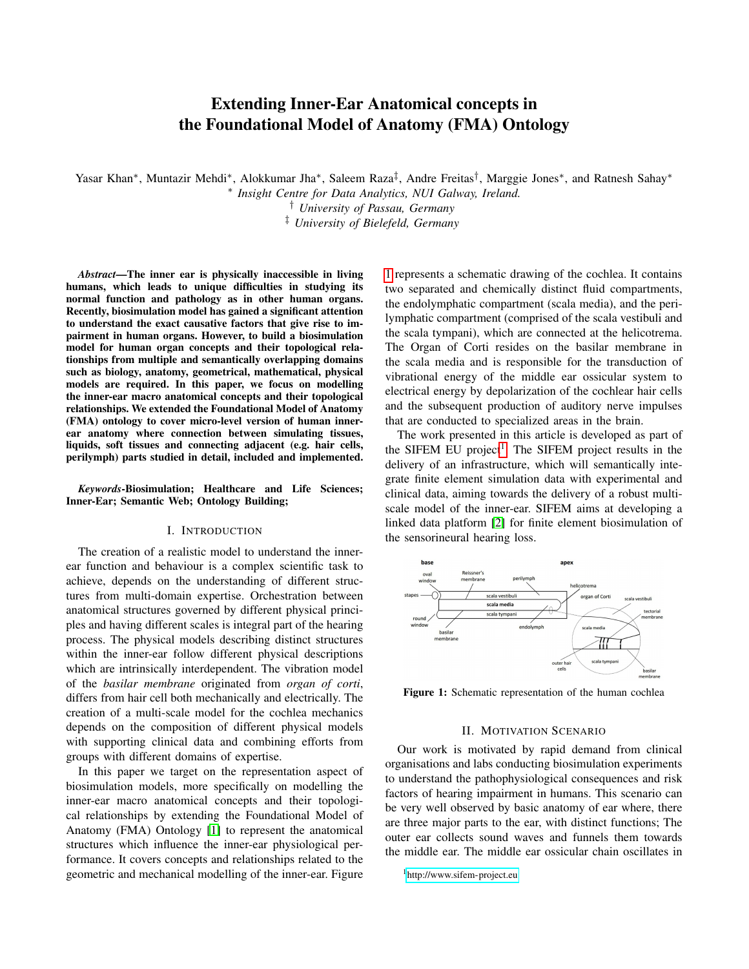# Extending Inner-Ear Anatomical concepts in the Foundational Model of Anatomy (FMA) Ontology

<span id="page-0-1"></span>Yasar Khan\*, Muntazir Mehdi\*, Alokkumar Jha\*, Saleem Raza‡, Andre Freitas<sup>†</sup>, Marggie Jones\*, and Ratnesh Sahay\*

∗ *Insight Centre for Data Analytics, NUI Galway, Ireland.*

† *University of Passau, Germany*

‡ *University of Bielefeld, Germany*

*Abstract*—The inner ear is physically inaccessible in living humans, which leads to unique difficulties in studying its normal function and pathology as in other human organs. Recently, biosimulation model has gained a significant attention to understand the exact causative factors that give rise to impairment in human organs. However, to build a biosimulation model for human organ concepts and their topological relationships from multiple and semantically overlapping domains such as biology, anatomy, geometrical, mathematical, physical models are required. In this paper, we focus on modelling the inner-ear macro anatomical concepts and their topological relationships. We extended the Foundational Model of Anatomy (FMA) ontology to cover micro-level version of human innerear anatomy where connection between simulating tissues, liquids, soft tissues and connecting adjacent (e.g. hair cells, perilymph) parts studied in detail, included and implemented.

*Keywords*-Biosimulation; Healthcare and Life Sciences; Inner-Ear; Semantic Web; Ontology Building;

# I. INTRODUCTION

The creation of a realistic model to understand the innerear function and behaviour is a complex scientific task to achieve, depends on the understanding of different structures from multi-domain expertise. Orchestration between anatomical structures governed by different physical principles and having different scales is integral part of the hearing process. The physical models describing distinct structures within the inner-ear follow different physical descriptions which are intrinsically interdependent. The vibration model of the *basilar membrane* originated from *organ of corti*, differs from hair cell both mechanically and electrically. The creation of a multi-scale model for the cochlea mechanics depends on the composition of different physical models with supporting clinical data and combining efforts from groups with different domains of expertise.

In this paper we target on the representation aspect of biosimulation models, more specifically on modelling the inner-ear macro anatomical concepts and their topological relationships by extending the Foundational Model of Anatomy (FMA) Ontology [\[1\]](#page-4-0) to represent the anatomical structures which influence the inner-ear physiological performance. It covers concepts and relationships related to the geometric and mechanical modelling of the inner-ear. Figure

[1](#page-0-0) represents a schematic drawing of the cochlea. It contains two separated and chemically distinct fluid compartments, the endolymphatic compartment (scala media), and the perilymphatic compartment (comprised of the scala vestibuli and the scala tympani), which are connected at the helicotrema. The Organ of Corti resides on the basilar membrane in the scala media and is responsible for the transduction of vibrational energy of the middle ear ossicular system to electrical energy by depolarization of the cochlear hair cells and the subsequent production of auditory nerve impulses that are conducted to specialized areas in the brain.

The work presented in this article is developed as part of the SIFEM EU project<sup>1</sup>. The SIFEM project results in the delivery of an infrastructure, which will semantically integrate finite element simulation data with experimental and clinical data, aiming towards the delivery of a robust multiscale model of the inner-ear. SIFEM aims at developing a linked data platform [\[2\]](#page-4-1) for finite element biosimulation of the sensorineural hearing loss.

<span id="page-0-0"></span>

Figure 1: Schematic representation of the human cochlea

## II. MOTIVATION SCENARIO

Our work is motivated by rapid demand from clinical organisations and labs conducting biosimulation experiments to understand the pathophysiological consequences and risk factors of hearing impairment in humans. This scenario can be very well observed by basic anatomy of ear where, there are three major parts to the ear, with distinct functions; The outer ear collects sound waves and funnels them towards the middle ear. The middle ear ossicular chain oscillates in

<sup>1</sup><http://www.sifem-project.eu>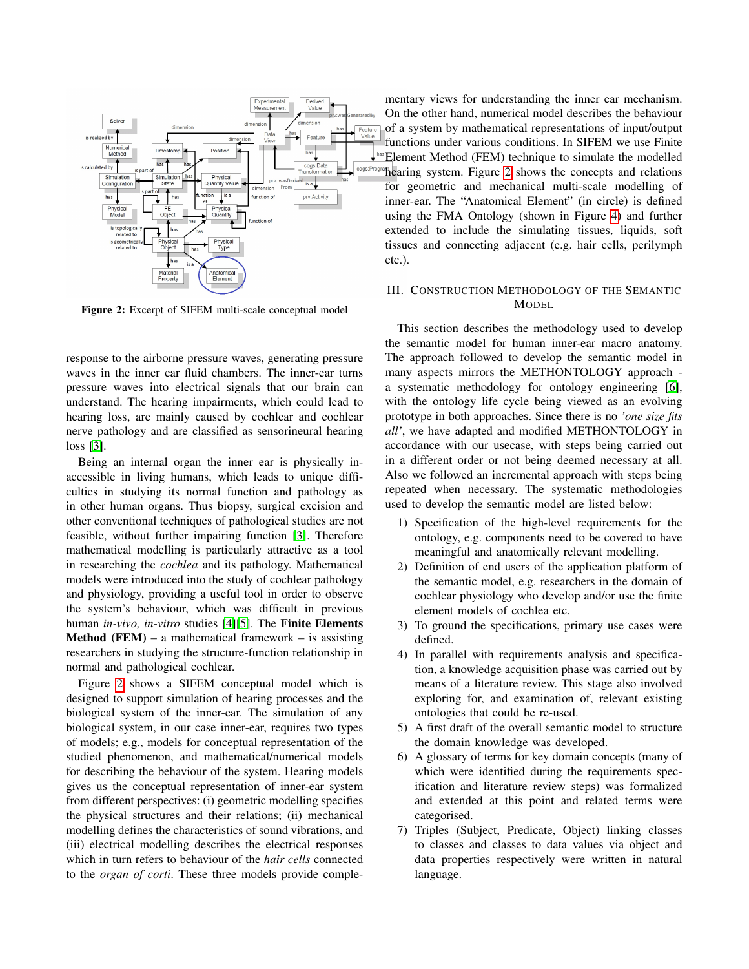<span id="page-1-0"></span>

Figure 2: Excerpt of SIFEM multi-scale conceptual model

response to the airborne pressure waves, generating pressure waves in the inner ear fluid chambers. The inner-ear turns pressure waves into electrical signals that our brain can understand. The hearing impairments, which could lead to hearing loss, are mainly caused by cochlear and cochlear nerve pathology and are classified as sensorineural hearing loss [\[3\]](#page-4-2).

Being an internal organ the inner ear is physically inaccessible in living humans, which leads to unique difficulties in studying its normal function and pathology as in other human organs. Thus biopsy, surgical excision and other conventional techniques of pathological studies are not feasible, without further impairing function [\[3\]](#page-4-2). Therefore mathematical modelling is particularly attractive as a tool in researching the *cochlea* and its pathology. Mathematical models were introduced into the study of cochlear pathology and physiology, providing a useful tool in order to observe the system's behaviour, which was difficult in previous human *in-vivo, in-vitro* studies [\[4\]](#page-4-3)[\[5\]](#page-4-4). The Finite Elements **Method** (**FEM**) – a mathematical framework – is assisting researchers in studying the structure-function relationship in normal and pathological cochlear.

Figure [2](#page-1-0) shows a SIFEM conceptual model which is designed to support simulation of hearing processes and the biological system of the inner-ear. The simulation of any biological system, in our case inner-ear, requires two types of models; e.g., models for conceptual representation of the studied phenomenon, and mathematical/numerical models for describing the behaviour of the system. Hearing models gives us the conceptual representation of inner-ear system from different perspectives: (i) geometric modelling specifies the physical structures and their relations; (ii) mechanical modelling defines the characteristics of sound vibrations, and (iii) electrical modelling describes the electrical responses which in turn refers to behaviour of the *hair cells* connected to the *organ of corti*. These three models provide comple-

mentary views for understanding the inner ear mechanism. On the other hand, numerical model describes the behaviour of a system by mathematical representations of input/output functions under various conditions. In SIFEM we use Finite Element Method (FEM) technique to simulate the modelled <sup>a</sup>hearing system. Figure [2](#page-1-0) shows the concepts and relations for geometric and mechanical multi-scale modelling of inner-ear. The "Anatomical Element" (in circle) is defined using the FMA Ontology (shown in Figure [4\)](#page-3-0) and further extended to include the simulating tissues, liquids, soft tissues and connecting adjacent (e.g. hair cells, perilymph etc.).

# <span id="page-1-1"></span>III. CONSTRUCTION METHODOLOGY OF THE SEMANTIC MODEL

This section describes the methodology used to develop the semantic model for human inner-ear macro anatomy. The approach followed to develop the semantic model in many aspects mirrors the METHONTOLOGY approach a systematic methodology for ontology engineering [\[6\]](#page-5-0), with the ontology life cycle being viewed as an evolving prototype in both approaches. Since there is no *'one size fits all'*, we have adapted and modified METHONTOLOGY in accordance with our usecase, with steps being carried out in a different order or not being deemed necessary at all. Also we followed an incremental approach with steps being repeated when necessary. The systematic methodologies used to develop the semantic model are listed below:

- 1) Specification of the high-level requirements for the ontology, e.g. components need to be covered to have meaningful and anatomically relevant modelling.
- 2) Definition of end users of the application platform of the semantic model, e.g. researchers in the domain of cochlear physiology who develop and/or use the finite element models of cochlea etc.
- 3) To ground the specifications, primary use cases were defined.
- 4) In parallel with requirements analysis and specification, a knowledge acquisition phase was carried out by means of a literature review. This stage also involved exploring for, and examination of, relevant existing ontologies that could be re-used.
- 5) A first draft of the overall semantic model to structure the domain knowledge was developed.
- 6) A glossary of terms for key domain concepts (many of which were identified during the requirements specification and literature review steps) was formalized and extended at this point and related terms were categorised.
- 7) Triples (Subject, Predicate, Object) linking classes to classes and classes to data values via object and data properties respectively were written in natural language.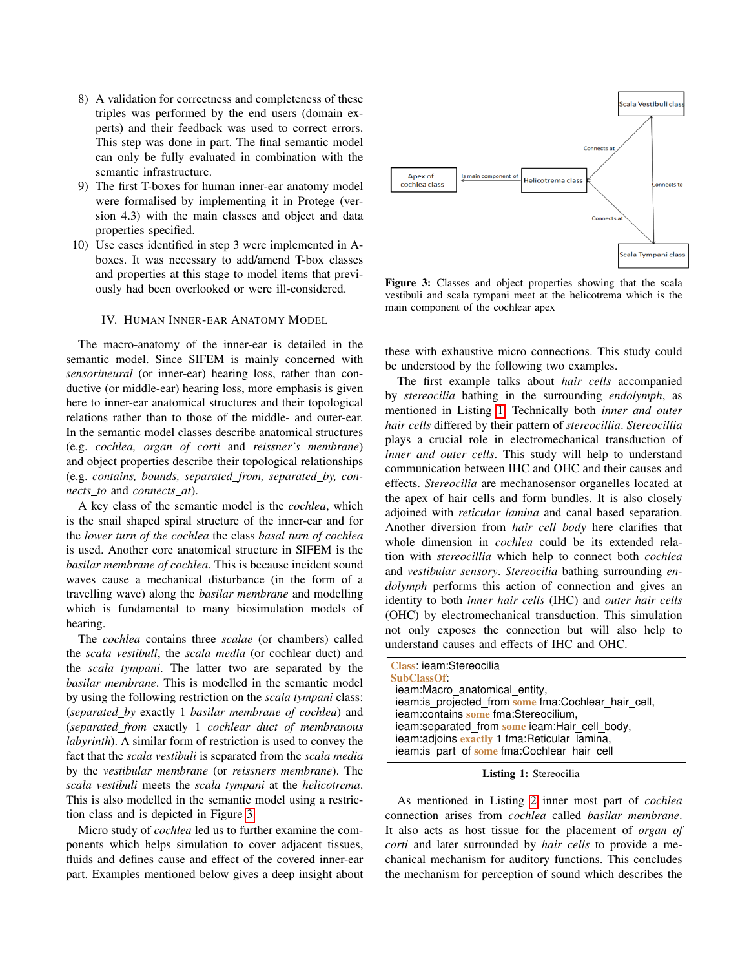- 8) A validation for correctness and completeness of these triples was performed by the end users (domain experts) and their feedback was used to correct errors. This step was done in part. The final semantic model can only be fully evaluated in combination with the semantic infrastructure.
- 9) The first T-boxes for human inner-ear anatomy model were formalised by implementing it in Protege (version 4.3) with the main classes and object and data properties specified.
- 10) Use cases identified in step 3 were implemented in Aboxes. It was necessary to add/amend T-box classes and properties at this stage to model items that previously had been overlooked or were ill-considered.

### IV. HUMAN INNER-EAR ANATOMY MODEL

The macro-anatomy of the inner-ear is detailed in the semantic model. Since SIFEM is mainly concerned with *sensorineural* (or inner-ear) hearing loss, rather than conductive (or middle-ear) hearing loss, more emphasis is given here to inner-ear anatomical structures and their topological relations rather than to those of the middle- and outer-ear. In the semantic model classes describe anatomical structures (e.g. *cochlea, organ of corti* and *reissner's membrane*) and object properties describe their topological relationships (e.g. *contains, bounds, separated from, separated by, connects to* and *connects at*).

A key class of the semantic model is the *cochlea*, which is the snail shaped spiral structure of the inner-ear and for the *lower turn of the cochlea* the class *basal turn of cochlea* is used. Another core anatomical structure in SIFEM is the *basilar membrane of cochlea*. This is because incident sound waves cause a mechanical disturbance (in the form of a travelling wave) along the *basilar membrane* and modelling which is fundamental to many biosimulation models of hearing.

The *cochlea* contains three *scalae* (or chambers) called the *scala vestibuli*, the *scala media* (or cochlear duct) and the *scala tympani*. The latter two are separated by the *basilar membrane*. This is modelled in the semantic model by using the following restriction on the *scala tympani* class: (*separated by* exactly 1 *basilar membrane of cochlea*) and (*separated from* exactly 1 *cochlear duct of membranous labyrinth*). A similar form of restriction is used to convey the fact that the *scala vestibuli* is separated from the *scala media* by the *vestibular membrane* (or *reissners membrane*). The *scala vestibuli* meets the *scala tympani* at the *helicotrema*. This is also modelled in the semantic model using a restriction class and is depicted in Figure [3.](#page-2-0)

Micro study of *cochlea* led us to further examine the components which helps simulation to cover adjacent tissues, fluids and defines cause and effect of the covered inner-ear part. Examples mentioned below gives a deep insight about

<span id="page-2-0"></span>

Figure 3: Classes and object properties showing that the scala vestibuli and scala tympani meet at the helicotrema which is the main component of the cochlear apex

these with exhaustive micro connections. This study could be understood by the following two examples.

The first example talks about *hair cells* accompanied by *stereocilia* bathing in the surrounding *endolymph*, as mentioned in Listing [1.](#page-2-1) Technically both *inner and outer hair cells* differed by their pattern of *stereocillia*. *Stereocillia* plays a crucial role in electromechanical transduction of *inner and outer cells*. This study will help to understand communication between IHC and OHC and their causes and effects. *Stereocilia* are mechanosensor organelles located at the apex of hair cells and form bundles. It is also closely adjoined with *reticular lamina* and canal based separation. Another diversion from *hair cell body* here clarifies that whole dimension in *cochlea* could be its extended relation with *stereocillia* which help to connect both *cochlea* and *vestibular sensory*. *Stereocilia* bathing surrounding *endolymph* performs this action of connection and gives an identity to both *inner hair cells* (IHC) and *outer hair cells* (OHC) by electromechanical transduction. This simulation not only exposes the connection but will also help to understand causes and effects of IHC and OHC.

<span id="page-2-1"></span>

| Class: jeam:Stereocilia                             |
|-----------------------------------------------------|
| SubClassOf                                          |
| ieam: Macro anatomical entity,                      |
| ieam:is_projected_from some fma:Cochlear_hair_cell, |
| ieam:contains some fma:Stereocilium,                |
| ieam:separated_from some ieam:Hair_cell_body,       |
| ieam: adjoins exactly 1 fma: Reticular lamina,      |
| ieam:is_part_of some fma:Cochlear_hair_cell         |
|                                                     |

Listing 1: Stereocilia

As mentioned in Listing [2](#page-3-1) inner most part of *cochlea* connection arises from *cochlea* called *basilar membrane*. It also acts as host tissue for the placement of *organ of corti* and later surrounded by *hair cells* to provide a mechanical mechanism for auditory functions. This concludes the mechanism for perception of sound which describes the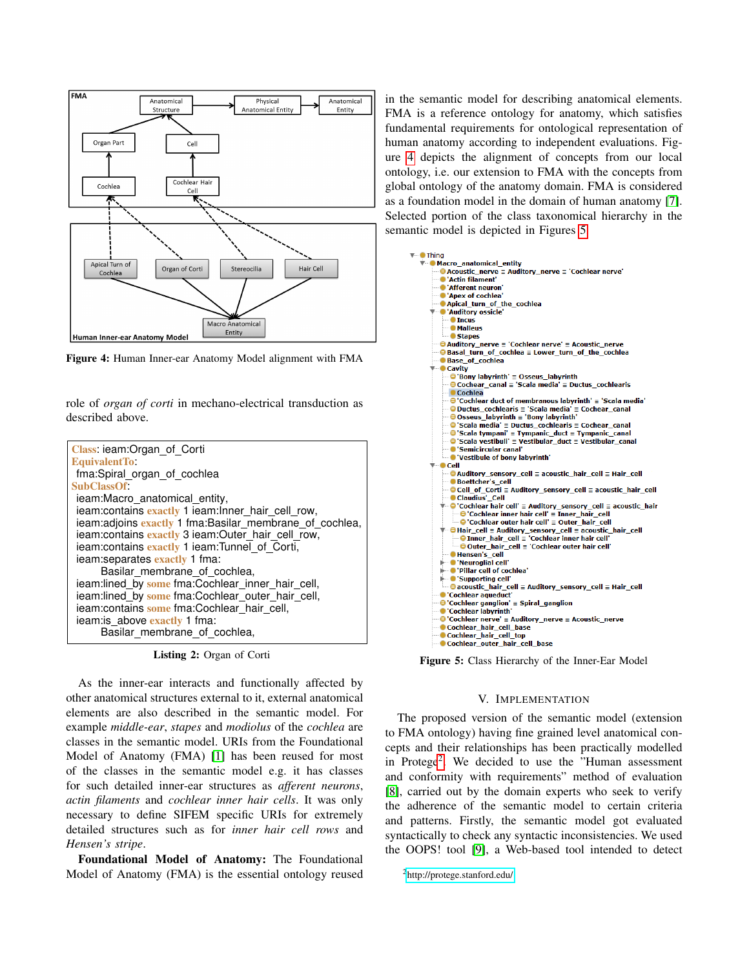<span id="page-3-0"></span>

Figure 4: Human Inner-ear Anatomy Model alignment with FMA

role of *organ of corti* in mechano-electrical transduction as described above.

<span id="page-3-1"></span>

Listing 2: Organ of Corti

As the inner-ear interacts and functionally affected by other anatomical structures external to it, external anatomical elements are also described in the semantic model. For example *middle-ear*, *stapes* and *modiolus* of the *cochlea* are classes in the semantic model. URIs from the Foundational Model of Anatomy (FMA) [\[1\]](#page-4-0) has been reused for most of the classes in the semantic model e.g. it has classes for such detailed inner-ear structures as *afferent neurons*, *actin filaments* and *cochlear inner hair cells*. It was only necessary to define SIFEM specific URIs for extremely detailed structures such as for *inner hair cell rows* and *Hensen's stripe*.

Foundational Model of Anatomy: The Foundational Model of Anatomy (FMA) is the essential ontology reused in the semantic model for describing anatomical elements. FMA is a reference ontology for anatomy, which satisfies fundamental requirements for ontological representation of human anatomy according to independent evaluations. Figure [4](#page-3-0) depicts the alignment of concepts from our local ontology, i.e. our extension to FMA with the concepts from global ontology of the anatomy domain. FMA is considered as a foundation model in the domain of human anatomy [\[7\]](#page-5-1). Selected portion of the class taxonomical hierarchy in the semantic model is depicted in Figures [5.](#page-3-2)

<span id="page-3-2"></span>

| $\nabla$ - $\bullet$ Thing                                                                   |
|----------------------------------------------------------------------------------------------|
| V Macro_anatomical_entity                                                                    |
| $\blacksquare$ Acoustic_nerve = Auditory_nerve = 'Cochlear nerve'                            |
| ■ 'Actin filament'                                                                           |
| - ● 'Afferent neuron'                                                                        |
| <b>O</b> 'Apex of cochlea'                                                                   |
| Apical_turn_of_the_cochlea                                                                   |
| <b>▼ ● 'Auditory ossicle'</b>                                                                |
| $\blacksquare$ Incus                                                                         |
| $\blacksquare$ Malleus                                                                       |
| <b>■</b> Stapes                                                                              |
| $\blacksquare$ Auditory_nerve = 'Cochlear nerve' = Acoustic_nerve                            |
| $\blacksquare$ Basal turn of cochlea $\equiv$ Lower turn of the cochlea                      |
| <b>Base of cochlea</b>                                                                       |
| $\overline{\bullet}$ Cavity                                                                  |
| $\blacksquare$ "Bony labyrinth" $\equiv$ Osseus labyrinth                                    |
| $\blacksquare$ Cochear canal = 'Scala media' = Ductus cochlearis                             |
| $\bullet$ Cochlea                                                                            |
| $\blacksquare$ $\blacksquare$ 'Cochlear duct of membranous labyrinth' $\equiv$ 'Scala media' |
| $\blacksquare$ Ductus cochlearis = 'Scala media' = Cochear canal                             |
| $\blacksquare$ Osseus_labyrinth $\equiv$ 'Bony labyrinth'                                    |
| $\blacksquare$ Scala media' = Ductus cochlearis = Cochear canal                              |
| $\blacksquare$ Scala tympani' = Tympanic_duct = Tympanic_canal                               |
| $\blacksquare$ Scala vestibuli' = Vestibular duct = Vestibular canal                         |
| Semicircular canal                                                                           |
| <b>Vestibule of bony labyrinth'</b>                                                          |
| v O Cell                                                                                     |
| └─ @ Auditory_sensory_cell = acoustic_hair_cell = Hair_cell                                  |
| <b>Boettcher's cell</b>                                                                      |
| $\blacksquare$ Cell_of_Corti = Auditory_sensory_cell = acoustic_hair_cell                    |
| Claudius' Cell                                                                               |
| v— O'Cochlear hair cell' = Auditory_sensory_cell = acoustic_hair                             |
| $\blacksquare$ Cochlear inner hair cell' = Inner hair cell                                   |
| $\Box$ $\Theta$ 'Cochlear outer hair cell' = Outer hair cell                                 |
| V— I Hair_cell = Auditory_sensory_cell = acoustic_hair_cell                                  |
| $\blacksquare$ Inner_hair_cell $\equiv$ 'Cochlear inner hair cell'                           |
| $\Box$ Outer hair cell $\equiv$ 'Cochlear outer hair cell'                                   |
| <b>B</b> Hensen's cell                                                                       |
| Meuroglial cell'                                                                             |
| Pillar cell of cochlea'                                                                      |
| i Supporting cell'                                                                           |
| $\Box$ acoustic hair cell = Auditory sensory cell = Hair cell                                |
| Cochlear aqueduct'                                                                           |
| $\blacksquare$ Cochlear ganglion' $\equiv$ Spiral_ganglion                                   |
| Cochlear labyrinth'                                                                          |
| $\blacksquare$ Cochlear nerve' = Auditory_nerve = Acoustic_nerve                             |
| Cochlear hair cell base                                                                      |
| Cochlear hair cell top                                                                       |
| - Cochlear outer hair cell base                                                              |
|                                                                                              |
|                                                                                              |

Figure 5: Class Hierarchy of the Inner-Ear Model

## V. IMPLEMENTATION

The proposed version of the semantic model (extension to FMA ontology) having fine grained level anatomical concepts and their relationships has been practically modelled in Protege<sup>[2](#page-0-1)</sup>. We decided to use the "Human assessment and conformity with requirements" method of evaluation [\[8\]](#page-5-2), carried out by the domain experts who seek to verify the adherence of the semantic model to certain criteria and patterns. Firstly, the semantic model got evaluated syntactically to check any syntactic inconsistencies. We used the OOPS! tool [\[9\]](#page-5-3), a Web-based tool intended to detect

<sup>2</sup><http://protege.stanford.edu/>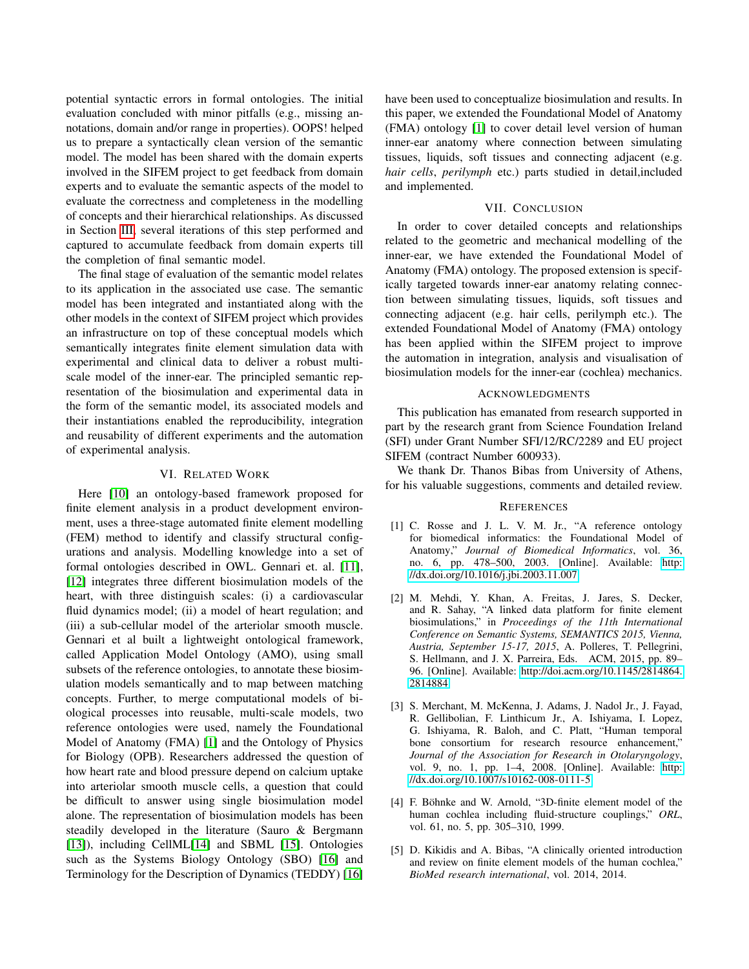potential syntactic errors in formal ontologies. The initial evaluation concluded with minor pitfalls (e.g., missing annotations, domain and/or range in properties). OOPS! helped us to prepare a syntactically clean version of the semantic model. The model has been shared with the domain experts involved in the SIFEM project to get feedback from domain experts and to evaluate the semantic aspects of the model to evaluate the correctness and completeness in the modelling of concepts and their hierarchical relationships. As discussed in Section [III,](#page-1-1) several iterations of this step performed and captured to accumulate feedback from domain experts till the completion of final semantic model.

The final stage of evaluation of the semantic model relates to its application in the associated use case. The semantic model has been integrated and instantiated along with the other models in the context of SIFEM project which provides an infrastructure on top of these conceptual models which semantically integrates finite element simulation data with experimental and clinical data to deliver a robust multiscale model of the inner-ear. The principled semantic representation of the biosimulation and experimental data in the form of the semantic model, its associated models and their instantiations enabled the reproducibility, integration and reusability of different experiments and the automation of experimental analysis.

## VI. RELATED WORK

Here [\[10\]](#page-5-4) an ontology-based framework proposed for finite element analysis in a product development environment, uses a three-stage automated finite element modelling (FEM) method to identify and classify structural configurations and analysis. Modelling knowledge into a set of formal ontologies described in OWL. Gennari et. al. [\[11\]](#page-5-5), [\[12\]](#page-5-6) integrates three different biosimulation models of the heart, with three distinguish scales: (i) a cardiovascular fluid dynamics model; (ii) a model of heart regulation; and (iii) a sub-cellular model of the arteriolar smooth muscle. Gennari et al built a lightweight ontological framework, called Application Model Ontology (AMO), using small subsets of the reference ontologies, to annotate these biosimulation models semantically and to map between matching concepts. Further, to merge computational models of biological processes into reusable, multi-scale models, two reference ontologies were used, namely the Foundational Model of Anatomy (FMA) [\[1\]](#page-4-0) and the Ontology of Physics for Biology (OPB). Researchers addressed the question of how heart rate and blood pressure depend on calcium uptake into arteriolar smooth muscle cells, a question that could be difficult to answer using single biosimulation model alone. The representation of biosimulation models has been steadily developed in the literature (Sauro & Bergmann [\[13\]](#page-5-7)), including CellML[\[14\]](#page-5-8) and SBML [\[15\]](#page-5-9). Ontologies such as the Systems Biology Ontology (SBO) [\[16\]](#page-5-10) and Terminology for the Description of Dynamics (TEDDY) [\[16\]](#page-5-10) have been used to conceptualize biosimulation and results. In this paper, we extended the Foundational Model of Anatomy (FMA) ontology [\[1\]](#page-4-0) to cover detail level version of human inner-ear anatomy where connection between simulating tissues, liquids, soft tissues and connecting adjacent (e.g. *hair cells*, *perilymph* etc.) parts studied in detail,included and implemented.

## VII. CONCLUSION

In order to cover detailed concepts and relationships related to the geometric and mechanical modelling of the inner-ear, we have extended the Foundational Model of Anatomy (FMA) ontology. The proposed extension is specifically targeted towards inner-ear anatomy relating connection between simulating tissues, liquids, soft tissues and connecting adjacent (e.g. hair cells, perilymph etc.). The extended Foundational Model of Anatomy (FMA) ontology has been applied within the SIFEM project to improve the automation in integration, analysis and visualisation of biosimulation models for the inner-ear (cochlea) mechanics.

### ACKNOWLEDGMENTS

This publication has emanated from research supported in part by the research grant from Science Foundation Ireland (SFI) under Grant Number SFI/12/RC/2289 and EU project SIFEM (contract Number 600933).

We thank Dr. Thanos Bibas from University of Athens, for his valuable suggestions, comments and detailed review.

## **REFERENCES**

- <span id="page-4-0"></span>[1] C. Rosse and J. L. V. M. Jr., "A reference ontology for biomedical informatics: the Foundational Model of Anatomy," *Journal of Biomedical Informatics*, vol. 36, no. 6, pp. 478–500, 2003. [Online]. Available: [http:](http://dx.doi.org/10.1016/j.jbi.2003.11.007) [//dx.doi.org/10.1016/j.jbi.2003.11.007](http://dx.doi.org/10.1016/j.jbi.2003.11.007)
- <span id="page-4-1"></span>[2] M. Mehdi, Y. Khan, A. Freitas, J. Jares, S. Decker, and R. Sahay, "A linked data platform for finite element biosimulations," in *Proceedings of the 11th International Conference on Semantic Systems, SEMANTICS 2015, Vienna, Austria, September 15-17, 2015*, A. Polleres, T. Pellegrini, S. Hellmann, and J. X. Parreira, Eds. ACM, 2015, pp. 89– 96. [Online]. Available: [http://doi.acm.org/10.1145/2814864.](http://doi.acm.org/10.1145/2814864.2814884) [2814884](http://doi.acm.org/10.1145/2814864.2814884)
- <span id="page-4-2"></span>[3] S. Merchant, M. McKenna, J. Adams, J. Nadol Jr., J. Fayad, R. Gellibolian, F. Linthicum Jr., A. Ishiyama, I. Lopez, G. Ishiyama, R. Baloh, and C. Platt, "Human temporal bone consortium for research resource enhancement," *Journal of the Association for Research in Otolaryngology*, vol. 9, no. 1, pp. 1–4, 2008. [Online]. Available: [http:](http://dx.doi.org/10.1007/s10162-008-0111-5) [//dx.doi.org/10.1007/s10162-008-0111-5](http://dx.doi.org/10.1007/s10162-008-0111-5)
- <span id="page-4-3"></span>[4] F. Böhnke and W. Arnold, "3D-finite element model of the human cochlea including fluid-structure couplings," *ORL*, vol. 61, no. 5, pp. 305–310, 1999.
- <span id="page-4-4"></span>[5] D. Kikidis and A. Bibas, "A clinically oriented introduction and review on finite element models of the human cochlea," *BioMed research international*, vol. 2014, 2014.